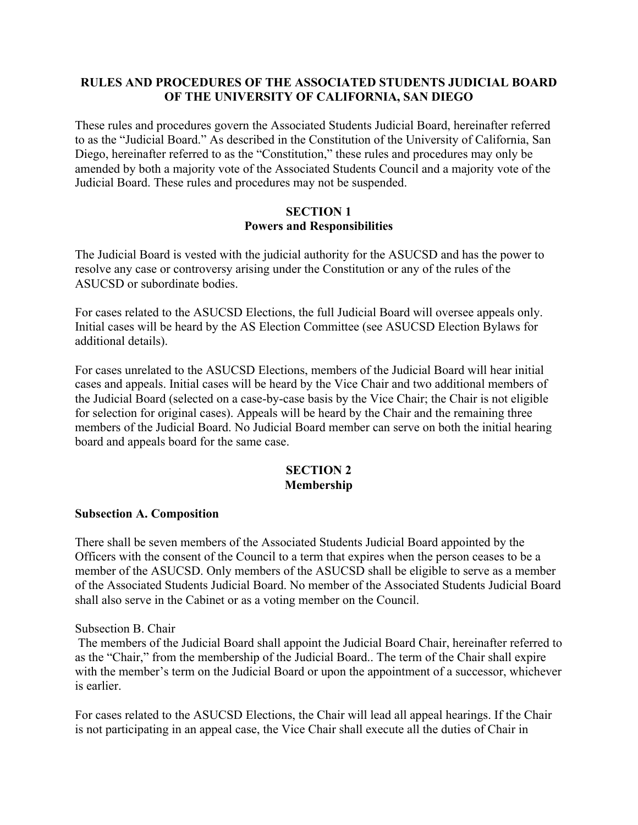## **RULES AND PROCEDURES OF THE ASSOCIATED STUDENTS JUDICIAL BOARD OF THE UNIVERSITY OF CALIFORNIA, SAN DIEGO**

These rules and procedures govern the Associated Students Judicial Board, hereinafter referred to as the "Judicial Board." As described in the Constitution of the University of California, San Diego, hereinafter referred to as the "Constitution," these rules and procedures may only be amended by both a majority vote of the Associated Students Council and a majority vote of the Judicial Board. These rules and procedures may not be suspended.

#### **SECTION 1 Powers and Responsibilities**

The Judicial Board is vested with the judicial authority for the ASUCSD and has the power to resolve any case or controversy arising under the Constitution or any of the rules of the ASUCSD or subordinate bodies.

For cases related to the ASUCSD Elections, the full Judicial Board will oversee appeals only. Initial cases will be heard by the AS Election Committee (see ASUCSD Election Bylaws for additional details).

For cases unrelated to the ASUCSD Elections, members of the Judicial Board will hear initial cases and appeals. Initial cases will be heard by the Vice Chair and two additional members of the Judicial Board (selected on a case-by-case basis by the Vice Chair; the Chair is not eligible for selection for original cases). Appeals will be heard by the Chair and the remaining three members of the Judicial Board. No Judicial Board member can serve on both the initial hearing board and appeals board for the same case.

## **SECTION 2 Membership**

#### **Subsection A. Composition**

There shall be seven members of the Associated Students Judicial Board appointed by the Officers with the consent of the Council to a term that expires when the person ceases to be a member of the ASUCSD. Only members of the ASUCSD shall be eligible to serve as a member of the Associated Students Judicial Board. No member of the Associated Students Judicial Board shall also serve in the Cabinet or as a voting member on the Council.

Subsection B. Chair

The members of the Judicial Board shall appoint the Judicial Board Chair, hereinafter referred to as the "Chair," from the membership of the Judicial Board.. The term of the Chair shall expire with the member's term on the Judicial Board or upon the appointment of a successor, whichever is earlier.

For cases related to the ASUCSD Elections, the Chair will lead all appeal hearings. If the Chair is not participating in an appeal case, the Vice Chair shall execute all the duties of Chair in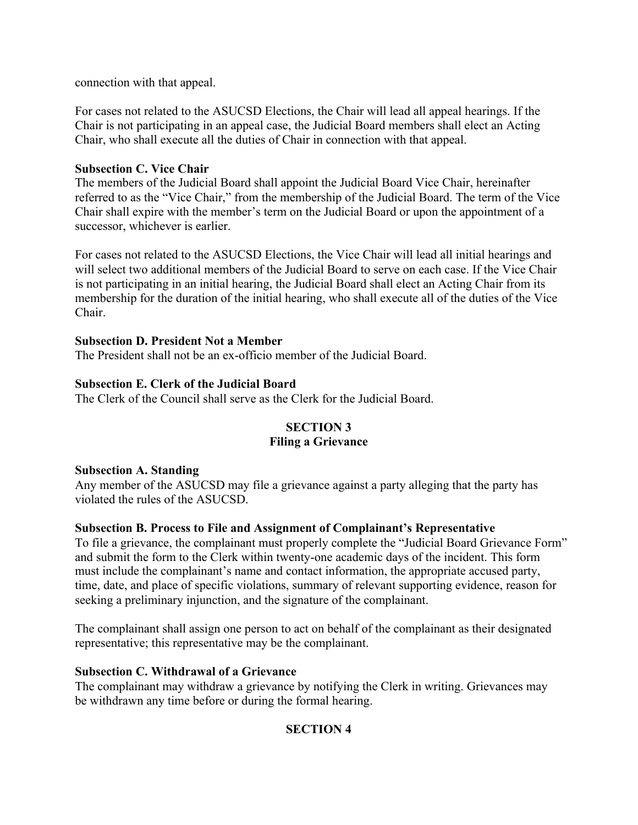connection with that appeal.

For cases not related to the ASUCSD Elections, the Chair will lead all appeal hearings. If the Chair is not participating in an appeal case, the Judicial Board members shall elect an Acting Chair, who shall execute all the duties of Chair in connection with that appeal.

## **Subsection C. Vice Chair**

The members of the Judicial Board shall appoint the Judicial Board Vice Chair, hereinafter referred to as the "Vice Chair," from the membership of the Judicial Board. The term of the Vice Chair shall expire with the member's term on the Judicial Board or upon the appointment of a successor, whichever is earlier.

For cases not related to the ASUCSD Elections, the Vice Chair will lead all initial hearings and will select two additional members of the Judicial Board to serve on each case. If the Vice Chair is not participating in an initial hearing, the Judicial Board shall elect an Acting Chair from its membership for the duration of the initial hearing, who shall execute all of the duties of the Vice Chair.

## **Subsection D. President Not a Member**

The President shall not be an ex-officio member of the Judicial Board.

## **Subsection E. Clerk of the Judicial Board**

The Clerk of the Council shall serve as the Clerk for the Judicial Board.

## **SECTION 3 Filing a Grievance**

#### **Subsection A. Standing**

Any member of the ASUCSD may file a grievance against a party alleging that the party has violated the rules of the ASUCSD.

## **Subsection B. Process to File and Assignment of Complainant's Representative**

To file a grievance, the complainant must properly complete the "Judicial Board Grievance Form" and submit the form to the Clerk within twenty-one academic days of the incident. This form must include the complainant's name and contact information, the appropriate accused party, time, date, and place of specific violations, summary of relevant supporting evidence, reason for seeking a preliminary injunction, and the signature of the complainant.

The complainant shall assign one person to act on behalf of the complainant as their designated representative; this representative may be the complainant.

#### **Subsection C. Withdrawal of a Grievance**

The complainant may withdraw a grievance by notifying the Clerk in writing. Grievances may be withdrawn any time before or during the formal hearing.

## **SECTION 4**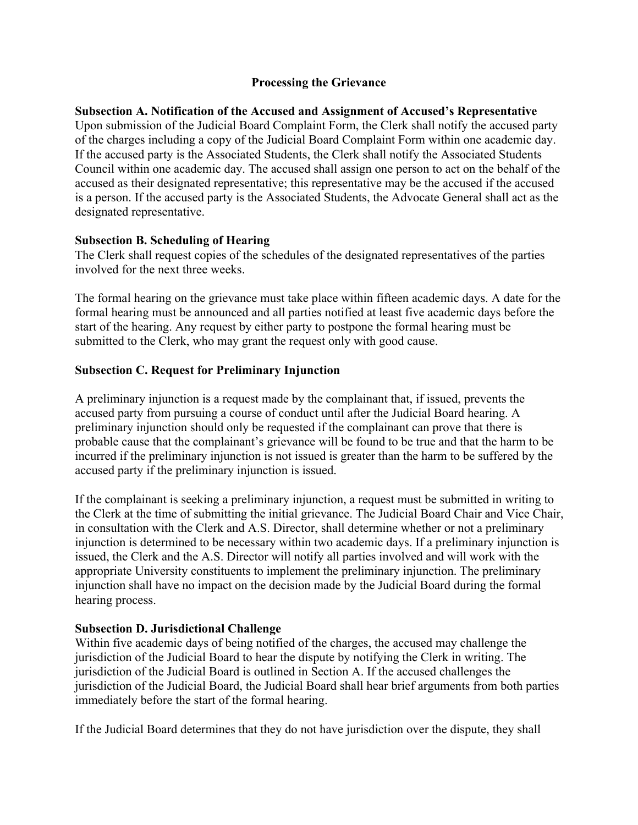### **Processing the Grievance**

**Subsection A. Notification of the Accused and Assignment of Accused's Representative**  Upon submission of the Judicial Board Complaint Form, the Clerk shall notify the accused party of the charges including a copy of the Judicial Board Complaint Form within one academic day. If the accused party is the Associated Students, the Clerk shall notify the Associated Students Council within one academic day. The accused shall assign one person to act on the behalf of the accused as their designated representative; this representative may be the accused if the accused is a person. If the accused party is the Associated Students, the Advocate General shall act as the designated representative.

## **Subsection B. Scheduling of Hearing**

The Clerk shall request copies of the schedules of the designated representatives of the parties involved for the next three weeks.

The formal hearing on the grievance must take place within fifteen academic days. A date for the formal hearing must be announced and all parties notified at least five academic days before the start of the hearing. Any request by either party to postpone the formal hearing must be submitted to the Clerk, who may grant the request only with good cause.

## **Subsection C. Request for Preliminary Injunction**

A preliminary injunction is a request made by the complainant that, if issued, prevents the accused party from pursuing a course of conduct until after the Judicial Board hearing. A preliminary injunction should only be requested if the complainant can prove that there is probable cause that the complainant's grievance will be found to be true and that the harm to be incurred if the preliminary injunction is not issued is greater than the harm to be suffered by the accused party if the preliminary injunction is issued.

If the complainant is seeking a preliminary injunction, a request must be submitted in writing to the Clerk at the time of submitting the initial grievance. The Judicial Board Chair and Vice Chair, in consultation with the Clerk and A.S. Director, shall determine whether or not a preliminary injunction is determined to be necessary within two academic days. If a preliminary injunction is issued, the Clerk and the A.S. Director will notify all parties involved and will work with the appropriate University constituents to implement the preliminary injunction. The preliminary injunction shall have no impact on the decision made by the Judicial Board during the formal hearing process.

## **Subsection D. Jurisdictional Challenge**

Within five academic days of being notified of the charges, the accused may challenge the jurisdiction of the Judicial Board to hear the dispute by notifying the Clerk in writing. The jurisdiction of the Judicial Board is outlined in Section A. If the accused challenges the jurisdiction of the Judicial Board, the Judicial Board shall hear brief arguments from both parties immediately before the start of the formal hearing.

If the Judicial Board determines that they do not have jurisdiction over the dispute, they shall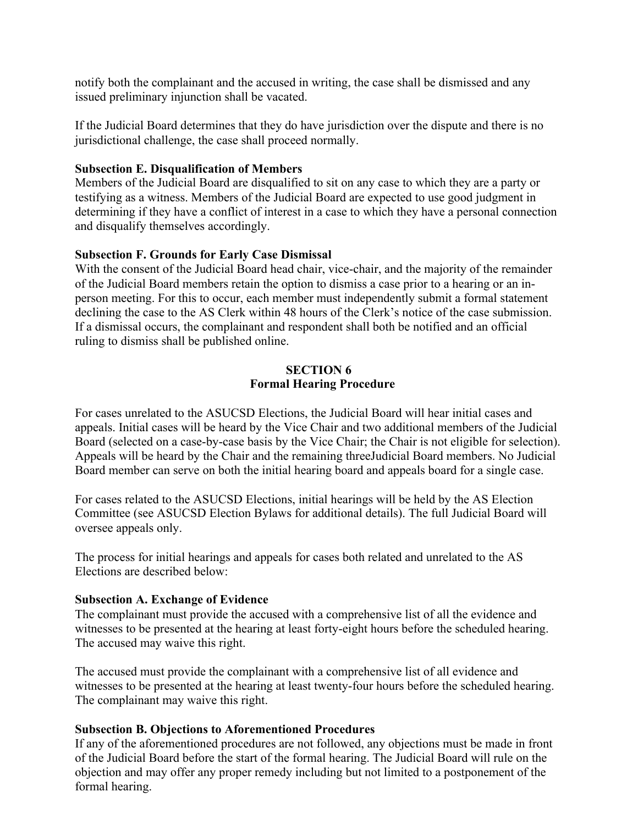notify both the complainant and the accused in writing, the case shall be dismissed and any issued preliminary injunction shall be vacated.

If the Judicial Board determines that they do have jurisdiction over the dispute and there is no jurisdictional challenge, the case shall proceed normally.

### **Subsection E. Disqualification of Members**

Members of the Judicial Board are disqualified to sit on any case to which they are a party or testifying as a witness. Members of the Judicial Board are expected to use good judgment in determining if they have a conflict of interest in a case to which they have a personal connection and disqualify themselves accordingly.

## **Subsection F. Grounds for Early Case Dismissal**

With the consent of the Judicial Board head chair, vice-chair, and the majority of the remainder of the Judicial Board members retain the option to dismiss a case prior to a hearing or an inperson meeting. For this to occur, each member must independently submit a formal statement declining the case to the AS Clerk within 48 hours of the Clerk's notice of the case submission. If a dismissal occurs, the complainant and respondent shall both be notified and an official ruling to dismiss shall be published online.

#### **SECTION 6 Formal Hearing Procedure**

For cases unrelated to the ASUCSD Elections, the Judicial Board will hear initial cases and appeals. Initial cases will be heard by the Vice Chair and two additional members of the Judicial Board (selected on a case-by-case basis by the Vice Chair; the Chair is not eligible for selection). Appeals will be heard by the Chair and the remaining threeJudicial Board members. No Judicial Board member can serve on both the initial hearing board and appeals board for a single case.

For cases related to the ASUCSD Elections, initial hearings will be held by the AS Election Committee (see ASUCSD Election Bylaws for additional details). The full Judicial Board will oversee appeals only.

The process for initial hearings and appeals for cases both related and unrelated to the AS Elections are described below:

#### **Subsection A. Exchange of Evidence**

The complainant must provide the accused with a comprehensive list of all the evidence and witnesses to be presented at the hearing at least forty-eight hours before the scheduled hearing. The accused may waive this right.

The accused must provide the complainant with a comprehensive list of all evidence and witnesses to be presented at the hearing at least twenty-four hours before the scheduled hearing. The complainant may waive this right.

#### **Subsection B. Objections to Aforementioned Procedures**

If any of the aforementioned procedures are not followed, any objections must be made in front of the Judicial Board before the start of the formal hearing. The Judicial Board will rule on the objection and may offer any proper remedy including but not limited to a postponement of the formal hearing.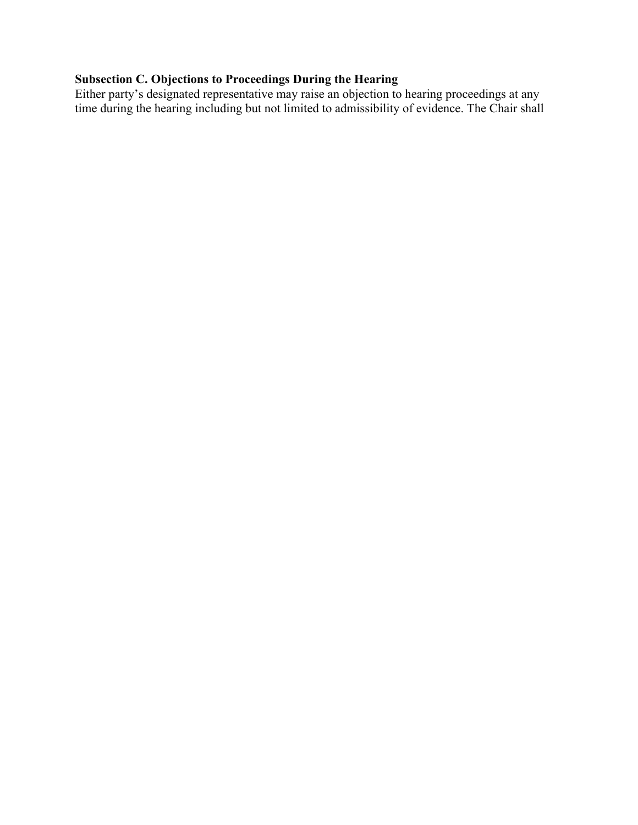# **Subsection C. Objections to Proceedings During the Hearing**

Either party's designated representative may raise an objection to hearing proceedings at any time during the hearing including but not limited to admissibility of evidence. The Chair shall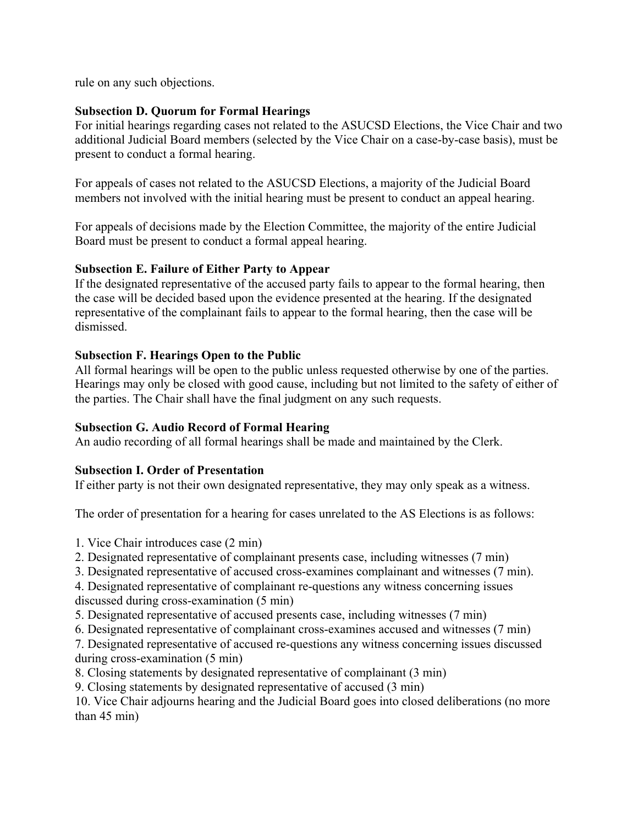rule on any such objections.

## **Subsection D. Quorum for Formal Hearings**

For initial hearings regarding cases not related to the ASUCSD Elections, the Vice Chair and two additional Judicial Board members (selected by the Vice Chair on a case-by-case basis), must be present to conduct a formal hearing.

For appeals of cases not related to the ASUCSD Elections, a majority of the Judicial Board members not involved with the initial hearing must be present to conduct an appeal hearing.

For appeals of decisions made by the Election Committee, the majority of the entire Judicial Board must be present to conduct a formal appeal hearing.

## **Subsection E. Failure of Either Party to Appear**

If the designated representative of the accused party fails to appear to the formal hearing, then the case will be decided based upon the evidence presented at the hearing. If the designated representative of the complainant fails to appear to the formal hearing, then the case will be dismissed.

## **Subsection F. Hearings Open to the Public**

All formal hearings will be open to the public unless requested otherwise by one of the parties. Hearings may only be closed with good cause, including but not limited to the safety of either of the parties. The Chair shall have the final judgment on any such requests.

## **Subsection G. Audio Record of Formal Hearing**

An audio recording of all formal hearings shall be made and maintained by the Clerk.

## **Subsection I. Order of Presentation**

If either party is not their own designated representative, they may only speak as a witness.

The order of presentation for a hearing for cases unrelated to the AS Elections is as follows:

1. Vice Chair introduces case (2 min)

- 2. Designated representative of complainant presents case, including witnesses (7 min)
- 3. Designated representative of accused cross-examines complainant and witnesses (7 min).

4. Designated representative of complainant re-questions any witness concerning issues discussed during cross-examination (5 min)

- 5. Designated representative of accused presents case, including witnesses (7 min)
- 6. Designated representative of complainant cross-examines accused and witnesses (7 min)

7. Designated representative of accused re-questions any witness concerning issues discussed during cross-examination (5 min)

8. Closing statements by designated representative of complainant (3 min)

9. Closing statements by designated representative of accused (3 min)

10. Vice Chair adjourns hearing and the Judicial Board goes into closed deliberations (no more than 45 min)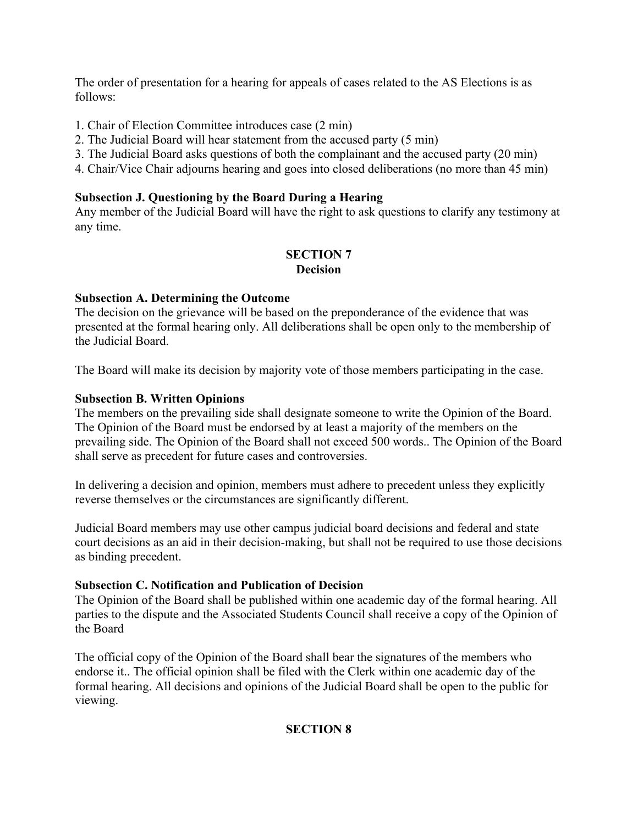The order of presentation for a hearing for appeals of cases related to the AS Elections is as follows:

- 1. Chair of Election Committee introduces case (2 min)
- 2. The Judicial Board will hear statement from the accused party (5 min)
- 3. The Judicial Board asks questions of both the complainant and the accused party (20 min)
- 4. Chair/Vice Chair adjourns hearing and goes into closed deliberations (no more than 45 min)

### **Subsection J. Questioning by the Board During a Hearing**

Any member of the Judicial Board will have the right to ask questions to clarify any testimony at any time.

## **SECTION 7 Decision**

## **Subsection A. Determining the Outcome**

The decision on the grievance will be based on the preponderance of the evidence that was presented at the formal hearing only. All deliberations shall be open only to the membership of the Judicial Board.

The Board will make its decision by majority vote of those members participating in the case.

## **Subsection B. Written Opinions**

The members on the prevailing side shall designate someone to write the Opinion of the Board. The Opinion of the Board must be endorsed by at least a majority of the members on the prevailing side. The Opinion of the Board shall not exceed 500 words.. The Opinion of the Board shall serve as precedent for future cases and controversies.

In delivering a decision and opinion, members must adhere to precedent unless they explicitly reverse themselves or the circumstances are significantly different.

Judicial Board members may use other campus judicial board decisions and federal and state court decisions as an aid in their decision-making, but shall not be required to use those decisions as binding precedent.

#### **Subsection C. Notification and Publication of Decision**

The Opinion of the Board shall be published within one academic day of the formal hearing. All parties to the dispute and the Associated Students Council shall receive a copy of the Opinion of the Board

The official copy of the Opinion of the Board shall bear the signatures of the members who endorse it.. The official opinion shall be filed with the Clerk within one academic day of the formal hearing. All decisions and opinions of the Judicial Board shall be open to the public for viewing.

## **SECTION 8**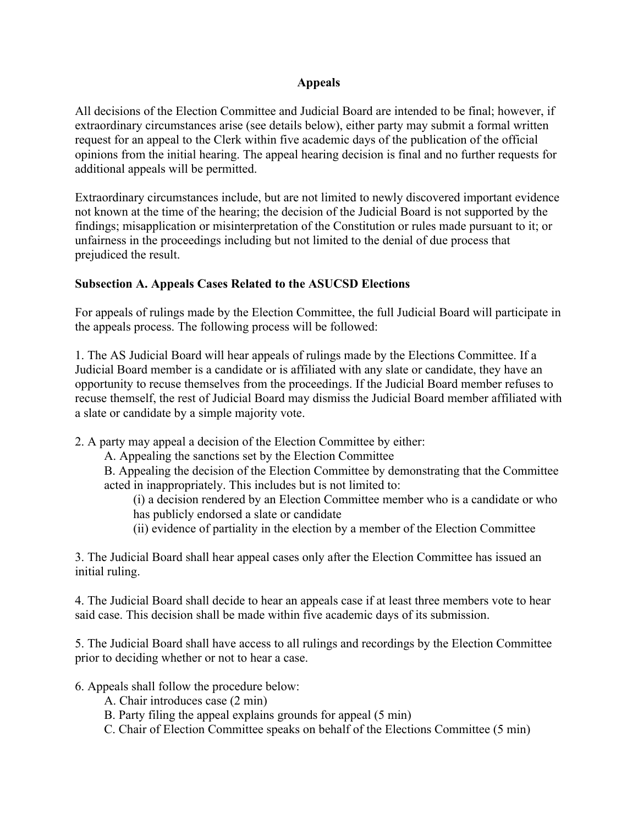## **Appeals**

All decisions of the Election Committee and Judicial Board are intended to be final; however, if extraordinary circumstances arise (see details below), either party may submit a formal written request for an appeal to the Clerk within five academic days of the publication of the official opinions from the initial hearing. The appeal hearing decision is final and no further requests for additional appeals will be permitted.

Extraordinary circumstances include, but are not limited to newly discovered important evidence not known at the time of the hearing; the decision of the Judicial Board is not supported by the findings; misapplication or misinterpretation of the Constitution or rules made pursuant to it; or unfairness in the proceedings including but not limited to the denial of due process that prejudiced the result.

## **Subsection A. Appeals Cases Related to the ASUCSD Elections**

For appeals of rulings made by the Election Committee, the full Judicial Board will participate in the appeals process. The following process will be followed:

1. The AS Judicial Board will hear appeals of rulings made by the Elections Committee. If a Judicial Board member is a candidate or is affiliated with any slate or candidate, they have an opportunity to recuse themselves from the proceedings. If the Judicial Board member refuses to recuse themself, the rest of Judicial Board may dismiss the Judicial Board member affiliated with a slate or candidate by a simple majority vote.

2. A party may appeal a decision of the Election Committee by either:

A. Appealing the sanctions set by the Election Committee

B. Appealing the decision of the Election Committee by demonstrating that the Committee acted in inappropriately. This includes but is not limited to:

(i) a decision rendered by an Election Committee member who is a candidate or who has publicly endorsed a slate or candidate

(ii) evidence of partiality in the election by a member of the Election Committee

3. The Judicial Board shall hear appeal cases only after the Election Committee has issued an initial ruling.

4. The Judicial Board shall decide to hear an appeals case if at least three members vote to hear said case. This decision shall be made within five academic days of its submission.

5. The Judicial Board shall have access to all rulings and recordings by the Election Committee prior to deciding whether or not to hear a case.

- 6. Appeals shall follow the procedure below:
	- A. Chair introduces case (2 min)
	- B. Party filing the appeal explains grounds for appeal (5 min)
	- C. Chair of Election Committee speaks on behalf of the Elections Committee (5 min)